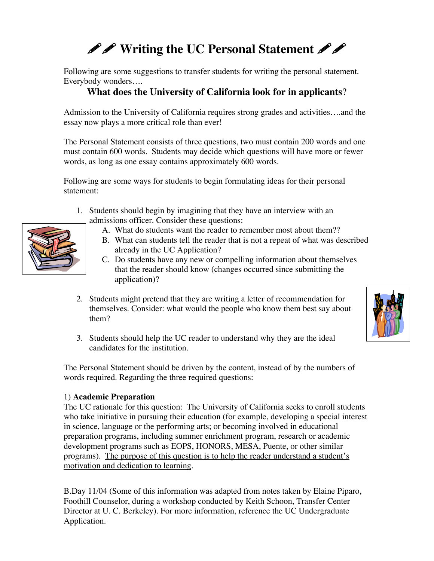# *PP* Writing the UC Personal Statement **PP**

Following are some suggestions to transfer students for writing the personal statement. Everybody wonders….

# **What does the University of California look for in applicants**?

Admission to the University of California requires strong grades and activities….and the essay now plays a more critical role than ever!

The Personal Statement consists of three questions, two must contain 200 words and one must contain 600 words. Students may decide which questions will have more or fewer words, as long as one essay contains approximately 600 words.

Following are some ways for students to begin formulating ideas for their personal statement:

- 1. Students should begin by imagining that they have an interview with an admissions officer. Consider these questions:
	- A. What do students want the reader to remember most about them??
	- B. What can students tell the reader that is not a repeat of what was described already in the UC Application?
	- C. Do students have any new or compelling information about themselves that the reader should know (changes occurred since submitting the application)?
- 2. Students might pretend that they are writing a letter of recommendation for themselves. Consider: what would the people who know them best say about them?
- 3. Students should help the UC reader to understand why they are the ideal candidates for the institution.

The Personal Statement should be driven by the content, instead of by the numbers of words required. Regarding the three required questions:

#### 1) **Academic Preparation**

The UC rationale for this question: The University of California seeks to enroll students who take initiative in pursuing their education (for example, developing a special interest in science, language or the performing arts; or becoming involved in educational preparation programs, including summer enrichment program, research or academic development programs such as EOPS, HONORS, MESA, Puente, or other similar programs). The purpose of this question is to help the reader understand a student's motivation and dedication to learning.



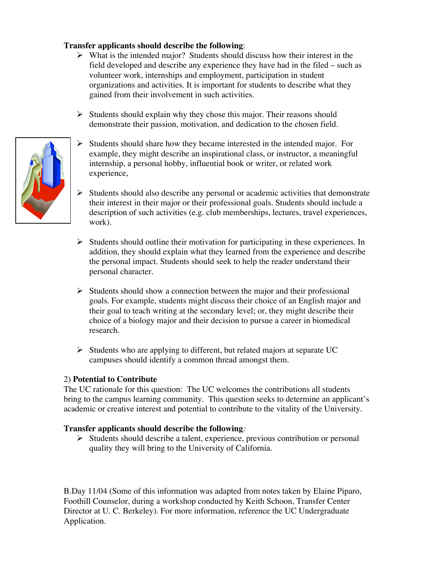#### **Transfer applicants should describe the following**:

- $\triangleright$  What is the intended major? Students should discuss how their interest in the field developed and describe any experience they have had in the filed – such as volunteer work, internships and employment, participation in student organizations and activities. It is important for students to describe what they gained from their involvement in such activities.
- $\triangleright$  Students should explain why they chose this major. Their reasons should demonstrate their passion, motivation, and dedication to the chosen field.
- $\triangleright$  Students should share how they became interested in the intended major. For example, they might describe an inspirational class, or instructor, a meaningful internship, a personal hobby, influential book or writer, or related work experience,
- $\triangleright$  Students should also describe any personal or academic activities that demonstrate their interest in their major or their professional goals. Students should include a description of such activities (e.g. club memberships, lectures, travel experiences, work).
- $\triangleright$  Students should outline their motivation for participating in these experiences. In addition, they should explain what they learned from the experience and describe the personal impact. Students should seek to help the reader understand their personal character.
- $\triangleright$  Students should show a connection between the major and their professional goals. For example, students might discuss their choice of an English major and their goal to teach writing at the secondary level; or, they might describe their choice of a biology major and their decision to pursue a career in biomedical research.
- $\triangleright$  Students who are applying to different, but related majors at separate UC campuses should identify a common thread amongst them.

# 2) **Potential to Contribute**

The UC rationale for this question: The UC welcomes the contributions all students bring to the campus learning community. This question seeks to determine an applicant's academic or creative interest and potential to contribute to the vitality of the University.

# **Transfer applicants should describe the following***:*

 $\triangleright$  Students should describe a talent, experience, previous contribution or personal quality they will bring to the University of California.

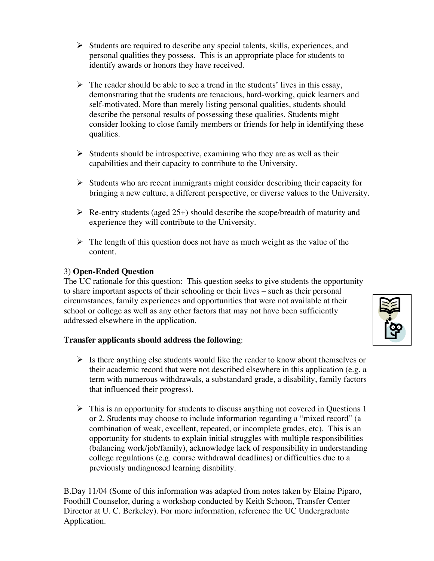- $\triangleright$  Students are required to describe any special talents, skills, experiences, and personal qualities they possess. This is an appropriate place for students to identify awards or honors they have received.
- $\triangleright$  The reader should be able to see a trend in the students' lives in this essay, demonstrating that the students are tenacious, hard-working, quick learners and self-motivated. More than merely listing personal qualities, students should describe the personal results of possessing these qualities. Students might consider looking to close family members or friends for help in identifying these qualities.
- $\triangleright$  Students should be introspective, examining who they are as well as their capabilities and their capacity to contribute to the University.
- $\triangleright$  Students who are recent immigrants might consider describing their capacity for bringing a new culture, a different perspective, or diverse values to the University.
- $\triangleright$  Re-entry students (aged 25+) should describe the scope/breadth of maturity and experience they will contribute to the University.
- $\triangleright$  The length of this question does not have as much weight as the value of the content.

#### 3) **Open-Ended Question**

The UC rationale for this question: This question seeks to give students the opportunity to share important aspects of their schooling or their lives – such as their personal circumstances, family experiences and opportunities that were not available at their school or college as well as any other factors that may not have been sufficiently addressed elsewhere in the application.

#### **Transfer applicants should address the following**:

- $\triangleright$  Is there anything else students would like the reader to know about themselves or their academic record that were not described elsewhere in this application (e.g. a term with numerous withdrawals, a substandard grade, a disability, family factors that influenced their progress).
- $\triangleright$  This is an opportunity for students to discuss anything not covered in Questions 1 or 2. Students may choose to include information regarding a "mixed record" (a combination of weak, excellent, repeated, or incomplete grades, etc). This is an opportunity for students to explain initial struggles with multiple responsibilities (balancing work/job/family), acknowledge lack of responsibility in understanding college regulations (e.g. course withdrawal deadlines) or difficulties due to a previously undiagnosed learning disability.

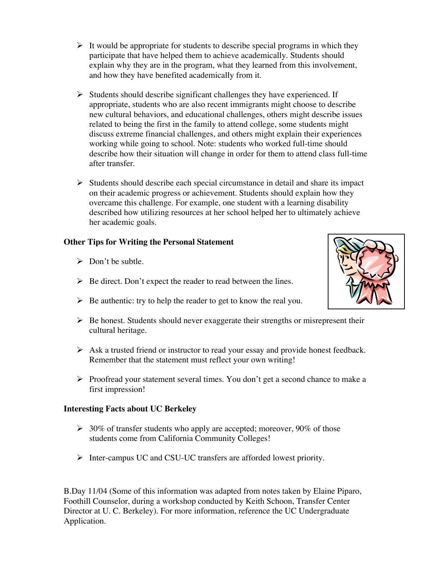- $\triangleright$  It would be appropriate for students to describe special programs in which they participate that have helped them to achieve academically. Students should explain why they are in the program, what they learned from this involvement, and how they have benefited academically from it.
- $\triangleright$  Students should describe significant challenges they have experienced. If appropriate, students who are also recent immigrants might choose to describe new cultural behaviors, and educational challenges, others might describe issues related to being the first in the family to attend college, some students might discuss extreme financial challenges, and others might explain their experiences working while going to school. Note: students who worked full-time should describe how their situation will change in order for them to attend class full-time after transfer.
- $\triangleright$  Students should describe each special circumstance in detail and share its impact on their academic progress or achievement. Students should explain how they overcame this challenge. For example, one student with a learning disability described how utilizing resources at her school helped her to ultimately achieve her academic goals.

#### **Other Tips for Writing the Personal Statement**

- $\triangleright$  Don't be subtle.
- $\triangleright$  Be direct. Don't expect the reader to read between the lines.
- $\triangleright$  Be authentic: try to help the reader to get to know the real you.
- $\triangleright$  Be honest. Students should never exaggerate their strengths or misrepresent their cultural heritage.
- $\triangleright$  Ask a trusted friend or instructor to read your essay and provide honest feedback. Remember that the statement must reflect your own writing!
- $\triangleright$  Proofread your statement several times. You don't get a second chance to make a first impression!

#### **Interesting Facts about UC Berkeley**

- $\geq 30\%$  of transfer students who apply are accepted; moreover, 90% of those students come from California Community Colleges!
- $\triangleright$  Inter-campus UC and CSU-UC transfers are afforded lowest priority.